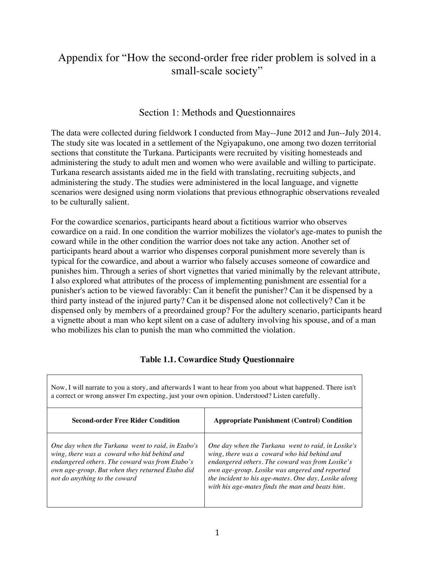## Appendix for "How the second-order free rider problem is solved in a small-scale society"

## Section 1: Methods and Questionnaires

The data were collected during fieldwork I conducted from May--June 2012 and Jun--July 2014. The study site was located in a settlement of the Ngiyapakuno, one among two dozen territorial sections that constitute the Turkana. Participants were recruited by visiting homesteads and administering the study to adult men and women who were available and willing to participate. Turkana research assistants aided me in the field with translating, recruiting subjects, and administering the study. The studies were administered in the local language, and vignette scenarios were designed using norm violations that previous ethnographic observations revealed to be culturally salient.

For the cowardice scenarios, participants heard about a fictitious warrior who observes cowardice on a raid. In one condition the warrior mobilizes the violator's age-mates to punish the coward while in the other condition the warrior does not take any action. Another set of participants heard about a warrior who dispenses corporal punishment more severely than is typical for the cowardice, and about a warrior who falsely accuses someone of cowardice and punishes him. Through a series of short vignettes that varied minimally by the relevant attribute, I also explored what attributes of the process of implementing punishment are essential for a punisher's action to be viewed favorably: Can it benefit the punisher? Can it be dispensed by a third party instead of the injured party? Can it be dispensed alone not collectively? Can it be dispensed only by members of a preordained group? For the adultery scenario, participants heard a vignette about a man who kept silent on a case of adultery involving his spouse, and of a man who mobilizes his clan to punish the man who committed the violation.

#### **Table 1.1. Cowardice Study Questionnaire**

Now, I will narrate to you a story, and afterwards I want to hear from you about what happened. There isn't a correct or wrong answer I'm expecting, just your own opinion. Understood? Listen carefully.

| <b>Second-order Free Rider Condition</b>                                                                                                                                                                                               | <b>Appropriate Punishment (Control) Condition</b>                                                                                                                                                                                                                                                                 |
|----------------------------------------------------------------------------------------------------------------------------------------------------------------------------------------------------------------------------------------|-------------------------------------------------------------------------------------------------------------------------------------------------------------------------------------------------------------------------------------------------------------------------------------------------------------------|
| One day when the Turkana went to raid, in Etabo's<br>wing, there was a coward who hid behind and<br>endangered others. The coward was from Etabo's<br>own age-group. But when they returned Etabo did<br>not do anything to the coward | One day when the Turkana went to raid, in Losike's<br>wing, there was a coward who hid behind and<br>endangered others. The coward was from Losike's<br>own age-group. Losike was angered and reported<br>the incident to his age-mates. One day, Losike along<br>with his age-mates finds the man and beats him. |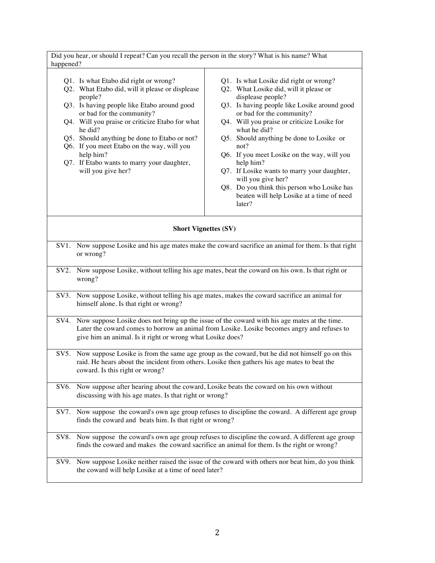| Did you hear, or should I repeat? Can you recall the person in the story? What is his name? What<br>happened?                                                                                                                                                                                                                                                                                                                |                                                                                                                                                                                                                                                                                                                                                                                                                                                                                                                                              |  |  |  |  |
|------------------------------------------------------------------------------------------------------------------------------------------------------------------------------------------------------------------------------------------------------------------------------------------------------------------------------------------------------------------------------------------------------------------------------|----------------------------------------------------------------------------------------------------------------------------------------------------------------------------------------------------------------------------------------------------------------------------------------------------------------------------------------------------------------------------------------------------------------------------------------------------------------------------------------------------------------------------------------------|--|--|--|--|
| Q1. Is what Etabo did right or wrong?<br>Q2. What Etabo did, will it please or displease<br>people?<br>Q3. Is having people like Etabo around good<br>or bad for the community?<br>Q4. Will you praise or criticize Etabo for what<br>he did?<br>Q5. Should anything be done to Etabo or not?<br>Q6. If you meet Etabo on the way, will you<br>help him?<br>Q7. If Etabo wants to marry your daughter,<br>will you give her? | Q1. Is what Losike did right or wrong?<br>Q2. What Losike did, will it please or<br>displease people?<br>Q3. Is having people like Losike around good<br>or bad for the community?<br>Q4. Will you praise or criticize Losike for<br>what he did?<br>Q5. Should anything be done to Losike or<br>not?<br>Q6. If you meet Losike on the way, will you<br>help him?<br>Q7. If Losike wants to marry your daughter,<br>will you give her?<br>Q8. Do you think this person who Losike has<br>beaten will help Losike at a time of need<br>later? |  |  |  |  |
|                                                                                                                                                                                                                                                                                                                                                                                                                              | <b>Short Vignettes (SV)</b>                                                                                                                                                                                                                                                                                                                                                                                                                                                                                                                  |  |  |  |  |
| or wrong?                                                                                                                                                                                                                                                                                                                                                                                                                    | SV1. Now suppose Losike and his age mates make the coward sacrifice an animal for them. Is that right                                                                                                                                                                                                                                                                                                                                                                                                                                        |  |  |  |  |
| SV2.<br>wrong?                                                                                                                                                                                                                                                                                                                                                                                                               | Now suppose Losike, without telling his age mates, beat the coward on his own. Is that right or                                                                                                                                                                                                                                                                                                                                                                                                                                              |  |  |  |  |
| SV <sub>3</sub> .<br>himself alone. Is that right or wrong?                                                                                                                                                                                                                                                                                                                                                                  | Now suppose Losike, without telling his age mates, makes the coward sacrifice an animal for                                                                                                                                                                                                                                                                                                                                                                                                                                                  |  |  |  |  |
| SV4.<br>give him an animal. Is it right or wrong what Losike does?                                                                                                                                                                                                                                                                                                                                                           | Now suppose Losike does not bring up the issue of the coward with his age mates at the time.<br>Later the coward comes to borrow an animal from Losike. Losike becomes angry and refuses to                                                                                                                                                                                                                                                                                                                                                  |  |  |  |  |
| Now suppose Losike is from the same age group as the coward, but he did not himself go on this<br>SV <sub>5</sub> .<br>raid. He hears about the incident from others. Losike then gathers his age mates to beat the<br>coward. Is this right or wrong?                                                                                                                                                                       |                                                                                                                                                                                                                                                                                                                                                                                                                                                                                                                                              |  |  |  |  |
| SV6. Now suppose after hearing about the coward, Losike beats the coward on his own without<br>discussing with his age mates. Is that right or wrong?                                                                                                                                                                                                                                                                        |                                                                                                                                                                                                                                                                                                                                                                                                                                                                                                                                              |  |  |  |  |
| SV7. Now suppose the coward's own age group refuses to discipline the coward. A different age group<br>finds the coward and beats him. Is that right or wrong?                                                                                                                                                                                                                                                               |                                                                                                                                                                                                                                                                                                                                                                                                                                                                                                                                              |  |  |  |  |
|                                                                                                                                                                                                                                                                                                                                                                                                                              | SV8. Now suppose the coward's own age group refuses to discipline the coward. A different age group<br>finds the coward and makes the coward sacrifice an animal for them. Is the right or wrong?                                                                                                                                                                                                                                                                                                                                            |  |  |  |  |
| Now suppose Losike neither raised the issue of the coward with others nor beat him, do you think<br>SV9.<br>the coward will help Losike at a time of need later?                                                                                                                                                                                                                                                             |                                                                                                                                                                                                                                                                                                                                                                                                                                                                                                                                              |  |  |  |  |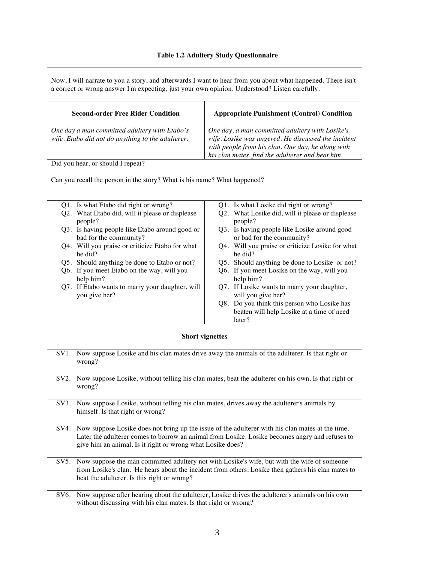#### **Table 1.2 Adultery Study Questionnaire**

 $\sqrt{ }$ 

| Now, I will narrate to you a story, and afterwards I want to hear from you about what happened. There isn't<br>a correct or wrong answer I'm expecting, just your own opinion. Understood? Listen carefully. |                                                                                                                                                                                                                                                                                                                       |                                                                                                                                                                         |  |  |  |  |  |
|--------------------------------------------------------------------------------------------------------------------------------------------------------------------------------------------------------------|-----------------------------------------------------------------------------------------------------------------------------------------------------------------------------------------------------------------------------------------------------------------------------------------------------------------------|-------------------------------------------------------------------------------------------------------------------------------------------------------------------------|--|--|--|--|--|
|                                                                                                                                                                                                              | <b>Second-order Free Rider Condition</b>                                                                                                                                                                                                                                                                              | <b>Appropriate Punishment (Control) Condition</b>                                                                                                                       |  |  |  |  |  |
|                                                                                                                                                                                                              | One day a man committed adultery with Etabo's<br>One day, a man committed adultery with Losike's<br>wife. Losike was angered. He discussed the incident<br>wife. Etabo did not do anything to the adulterer.<br>with people from his clan. One day, he along with<br>his clan mates, find the adulterer and beat him. |                                                                                                                                                                         |  |  |  |  |  |
|                                                                                                                                                                                                              | Did you hear, or should I repeat?                                                                                                                                                                                                                                                                                     |                                                                                                                                                                         |  |  |  |  |  |
|                                                                                                                                                                                                              | Can you recall the person in the story? What is his name? What happened?                                                                                                                                                                                                                                              |                                                                                                                                                                         |  |  |  |  |  |
|                                                                                                                                                                                                              | Q1. Is what Etabo did right or wrong?<br>Q2. What Etabo did, will it please or displease<br>people?                                                                                                                                                                                                                   | Q1. Is what Losike did right or wrong?<br>Q2. What Losike did, will it please or displease<br>people?                                                                   |  |  |  |  |  |
|                                                                                                                                                                                                              | Q3. Is having people like Etabo around good or<br>bad for the community?<br>Q4. Will you praise or criticize Etabo for what<br>he did?                                                                                                                                                                                | Q3. Is having people like Losike around good<br>or bad for the community?<br>Q4. Will you praise or criticize Losike for what<br>he did?                                |  |  |  |  |  |
|                                                                                                                                                                                                              | Q5. Should anything be done to Etabo or not?<br>Q6. If you meet Etabo on the way, will you<br>help him?                                                                                                                                                                                                               | Q5. Should anything be done to Losike or not?<br>Q6. If you meet Losike on the way, will you<br>help him?                                                               |  |  |  |  |  |
|                                                                                                                                                                                                              | Q7. If Etabo wants to marry your daughter, will<br>you give her?                                                                                                                                                                                                                                                      | Q7. If Losike wants to marry your daughter,<br>will you give her?<br>Q8. Do you think this person who Losike has<br>beaten will help Losike at a time of need<br>later? |  |  |  |  |  |
|                                                                                                                                                                                                              |                                                                                                                                                                                                                                                                                                                       | <b>Short vignettes</b>                                                                                                                                                  |  |  |  |  |  |
| SV1.                                                                                                                                                                                                         | wrong?                                                                                                                                                                                                                                                                                                                | Now suppose Losike and his clan mates drive away the animals of the adulterer. Is that right or                                                                         |  |  |  |  |  |
| SV <sub>2</sub> .                                                                                                                                                                                            | Now suppose Losike, without telling his clan mates, beat the adulterer on his own. Is that right or<br>wrong?                                                                                                                                                                                                         |                                                                                                                                                                         |  |  |  |  |  |
|                                                                                                                                                                                                              | SV3. Now suppose Losike, without telling his clan mates, drives away the adulterer's animals by<br>himself. Is that right or wrong?                                                                                                                                                                                   |                                                                                                                                                                         |  |  |  |  |  |
|                                                                                                                                                                                                              | SV4. Now suppose Losike does not bring up the issue of the adulterer with his clan mates at the time.<br>Later the adulterer comes to borrow an animal from Losike. Losike becomes angry and refuses to<br>give him an animal. Is it right or wrong what Losike does?                                                 |                                                                                                                                                                         |  |  |  |  |  |
| SV5.                                                                                                                                                                                                         | Now suppose the man committed adultery not with Losike's wife, but with the wife of someone<br>from Losike's clan. He hears about the incident from others. Losike then gathers his clan mates to<br>beat the adulterer. Is this right or wrong?                                                                      |                                                                                                                                                                         |  |  |  |  |  |
| SV6.                                                                                                                                                                                                         | Now suppose after hearing about the adulterer, Losike drives the adulterer's animals on his own<br>without discussing with his clan mates. Is that right or wrong?                                                                                                                                                    |                                                                                                                                                                         |  |  |  |  |  |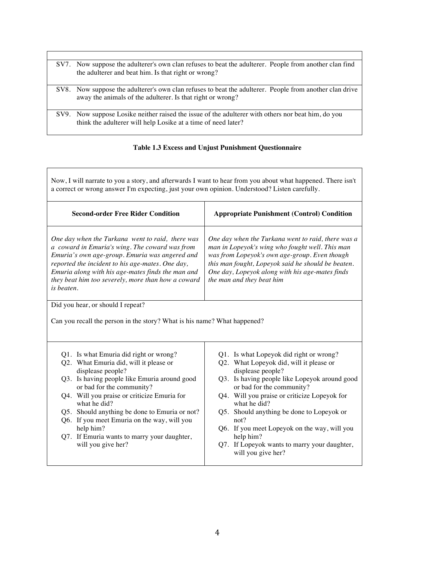|      | SV7. Now suppose the adulterer's own clan refuses to beat the adulterer. People from another clan find<br>the adulterer and beat him. Is that right or wrong?         |
|------|-----------------------------------------------------------------------------------------------------------------------------------------------------------------------|
|      | SV8. Now suppose the adulterer's own clan refuses to beat the adulterer. People from another clan drive<br>away the animals of the adulterer. Is that right or wrong? |
| SV9. | Now suppose Losike neither raised the issue of the adulterer with others nor beat him, do you<br>think the adulterer will help Losike at a time of need later?        |

Г

#### **Table 1.3 Excess and Unjust Punishment Questionnaire**

Now, I will narrate to you a story, and afterwards I want to hear from you about what happened. There isn't a correct or wrong answer I'm expecting, just your own opinion. Understood? Listen carefully.

| <b>Second-order Free Rider Condition</b>                                                                                                                                                                                                                                                                                                                                                                                            | <b>Appropriate Punishment (Control) Condition</b>                                                                                                                                                                                                                                                                                                                                                                                             |
|-------------------------------------------------------------------------------------------------------------------------------------------------------------------------------------------------------------------------------------------------------------------------------------------------------------------------------------------------------------------------------------------------------------------------------------|-----------------------------------------------------------------------------------------------------------------------------------------------------------------------------------------------------------------------------------------------------------------------------------------------------------------------------------------------------------------------------------------------------------------------------------------------|
| One day when the Turkana went to raid, there was<br>a coward in Emuria's wing. The coward was from<br>Emuria's own age-group. Emuria was angered and<br>reported the incident to his age-mates. One day,<br>Emuria along with his age-mates finds the man and<br>they beat him too severely, more than how a coward<br>is beaten.                                                                                                   | One day when the Turkana went to raid, there was a<br>man in Lopeyok's wing who fought well. This man<br>was from Lopeyok's own age-group. Even though<br>this man fought, Lopeyok said he should be beaten.<br>One day, Lopeyok along with his age-mates finds<br>the man and they beat him                                                                                                                                                  |
| Did you hear, or should I repeat?                                                                                                                                                                                                                                                                                                                                                                                                   |                                                                                                                                                                                                                                                                                                                                                                                                                                               |
| Can you recall the person in the story? What is his name? What happened?                                                                                                                                                                                                                                                                                                                                                            |                                                                                                                                                                                                                                                                                                                                                                                                                                               |
| Q1. Is what Emuria did right or wrong?<br>Q2. What Emuria did, will it please or<br>displease people?<br>Q3. Is having people like Emuria around good<br>or bad for the community?<br>Q4. Will you praise or criticize Emuria for<br>what he did?<br>Q5. Should anything be done to Emuria or not?<br>Q6. If you meet Emuria on the way, will you<br>help him?<br>Q7. If Emuria wants to marry your daughter,<br>will you give her? | Q1. Is what Lopeyok did right or wrong?<br>Q2. What Lopeyok did, will it please or<br>displease people?<br>Q3. Is having people like Lopeyok around good<br>or bad for the community?<br>Q4. Will you praise or criticize Lopeyok for<br>what he did?<br>Q5. Should anything be done to Lopeyok or<br>not?<br>Q6. If you meet Lopeyok on the way, will you<br>help him?<br>Q7. If Lopeyok wants to marry your daughter,<br>will you give her? |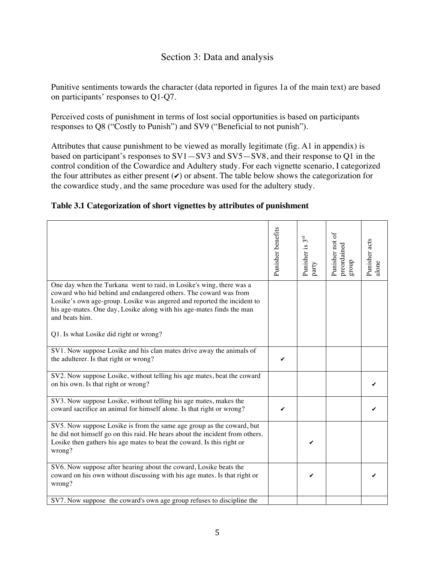### Section 3: Data and analysis

Punitive sentiments towards the character (data reported in figures 1a of the main text) are based on participants' responses to Q1-Q7.

Perceived costs of punishment in terms of lost social opportunities is based on participants responses to Q8 ("Costly to Punish") and SV9 ("Beneficial to not punish").

Attributes that cause punishment to be viewed as morally legitimate (fig. A1 in appendix) is based on participant's responses to SV1—SV3 and SV5—SV8, and their response to Q1 in the control condition of the Cowardice and Adultery study. For each vignette scenario, I categorized the four attributes as either present  $(\checkmark)$  or absent. The table below shows the categorization for the cowardice study, and the same procedure was used for the adultery study.

**Table 3.1 Categorization of short vignettes by attributes of punishment**

|                                                                                                                                                                                                                                                                                                                                                          | Punisher benefits | 3rd<br>Punisher is<br>party | Punisher not of<br>preordained<br>group | Punisher acts |
|----------------------------------------------------------------------------------------------------------------------------------------------------------------------------------------------------------------------------------------------------------------------------------------------------------------------------------------------------------|-------------------|-----------------------------|-----------------------------------------|---------------|
| One day when the Turkana went to raid, in Losike's wing, there was a<br>coward who hid behind and endangered others. The coward was from<br>Losike's own age-group. Losike was angered and reported the incident to<br>his age-mates. One day, Losike along with his age-mates finds the man<br>and beats him.<br>Q1. Is what Losike did right or wrong? |                   |                             |                                         |               |
| SV1. Now suppose Losike and his clan mates drive away the animals of<br>the adulterer. Is that right or wrong?                                                                                                                                                                                                                                           |                   |                             |                                         |               |
| SV2. Now suppose Losike, without telling his age mates, beat the coward<br>on his own. Is that right or wrong?                                                                                                                                                                                                                                           |                   |                             |                                         |               |
| SV3. Now suppose Losike, without telling his age mates, makes the<br>coward sacrifice an animal for himself alone. Is that right or wrong?                                                                                                                                                                                                               |                   |                             |                                         |               |
| SV5. Now suppose Losike is from the same age group as the coward, but<br>he did not himself go on this raid. He hears about the incident from others.<br>Losike then gathers his age mates to beat the coward. Is this right or<br>wrong?                                                                                                                |                   |                             |                                         |               |
| SV6. Now suppose after hearing about the coward, Losike beats the<br>coward on his own without discussing with his age mates. Is that right or<br>wrong?                                                                                                                                                                                                 |                   |                             |                                         |               |
| SV7. Now suppose the coward's own age group refuses to discipline the                                                                                                                                                                                                                                                                                    |                   |                             |                                         |               |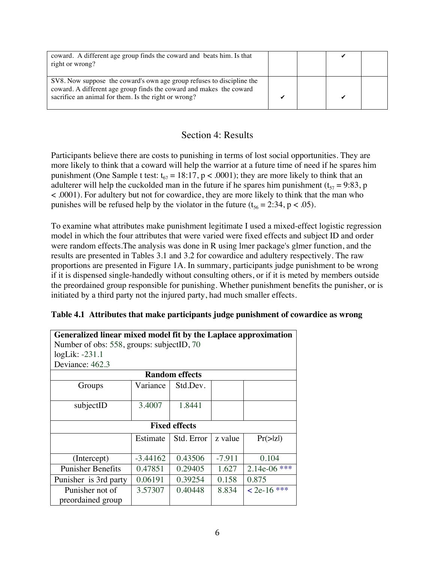| coward. A different age group finds the coward and beats him. Is that<br>right or wrong?                                                                                                             |  |  |
|------------------------------------------------------------------------------------------------------------------------------------------------------------------------------------------------------|--|--|
| SV8. Now suppose the coward's own age group refuses to discipline the<br>coward. A different age group finds the coward and makes the coward<br>sacrifice an animal for them. Is the right or wrong? |  |  |

### Section 4: Results

Participants believe there are costs to punishing in terms of lost social opportunities. They are more likely to think that a coward will help the warrior at a future time of need if he spares him punishment (One Sample t test:  $t_{67} = 18:17$ , p < .0001); they are more likely to think that an adulterer will help the cuckolded man in the future if he spares him punishment ( $t_{57} = 9.83$ , p < .0001). For adultery but not for cowardice, they are more likely to think that the man who punishes will be refused help by the violator in the future  $(t_{56} = 2:34, p < .05)$ .

To examine what attributes make punishment legitimate I used a mixed-effect logistic regression model in which the four attributes that were varied were fixed effects and subject ID and order were random effects.The analysis was done in R using lmer package's glmer function, and the results are presented in Tables 3.1 and 3.2 for cowardice and adultery respectively. The raw proportions are presented in Figure 1A. In summary, participants judge punishment to be wrong if it is dispensed single-handedly without consulting others, or if it is meted by members outside the preordained group responsible for punishing. Whether punishment benefits the punisher, or is initiated by a third party not the injured party, had much smaller effects.

|  | Table 4.1 Attributes that make participants judge punishment of cowardice as wrong |  |  |  |  |  |  |
|--|------------------------------------------------------------------------------------|--|--|--|--|--|--|
|--|------------------------------------------------------------------------------------|--|--|--|--|--|--|

| Generalized linear mixed model fit by the Laplace approximation |            |                       |          |                |  |  |  |
|-----------------------------------------------------------------|------------|-----------------------|----------|----------------|--|--|--|
| Number of obs: 558, groups: subjectID, 70                       |            |                       |          |                |  |  |  |
| $logLik: -231.1$                                                |            |                       |          |                |  |  |  |
| Deviance: 462.3                                                 |            |                       |          |                |  |  |  |
|                                                                 |            | <b>Random effects</b> |          |                |  |  |  |
| Groups                                                          | Variance   | Std.Dev.              |          |                |  |  |  |
| subjectID                                                       | 3.4007     | 1.8441                |          |                |  |  |  |
|                                                                 |            | <b>Fixed effects</b>  |          |                |  |  |  |
| Std. Error<br>z value<br>Estimate<br>$Pr(\ge  z )$              |            |                       |          |                |  |  |  |
| (Intercept)                                                     | $-3.44162$ | 0.43506               | $-7.911$ | 0.104          |  |  |  |
| <b>Punisher Benefits</b>                                        | 0.47851    | 0.29405               | 1.627    | $2.14e-06$ *** |  |  |  |
| Punisher is 3rd party                                           | 0.06191    | 0.39254               | 0.158    | 0.875          |  |  |  |
| Punisher not of<br>preordained group                            | 3.57307    | 0.40448               | 8.834    | $< 2e-16$ ***  |  |  |  |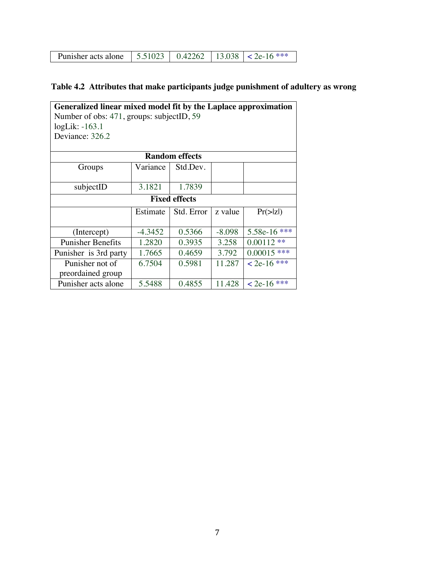| Punisher acts alone $\left  \right  5.51023 \left  \right  0.42262 \left  \right  13.038 \left  \right  < 2e^{-16}$ <sup>***</sup> |  |  |
|------------------------------------------------------------------------------------------------------------------------------------|--|--|

# **Table 4.2 Attributes that make participants judge punishment of adultery as wrong**

| Generalized linear mixed model fit by the Laplace approximation<br>Number of obs: 471, groups: subjectID, 59<br>$logLik: -163.1$<br>Deviance: 326.2 |           |                       |          |               |  |  |
|-----------------------------------------------------------------------------------------------------------------------------------------------------|-----------|-----------------------|----------|---------------|--|--|
|                                                                                                                                                     |           | <b>Random effects</b> |          |               |  |  |
| Groups                                                                                                                                              | Variance  | Std.Dev.              |          |               |  |  |
| subjectID                                                                                                                                           | 3.1821    | 1.7839                |          |               |  |  |
|                                                                                                                                                     |           | <b>Fixed effects</b>  |          |               |  |  |
|                                                                                                                                                     | Estimate  | Std. Error            | z value  | $Pr(\ge  z )$ |  |  |
| (Intercept)                                                                                                                                         | $-4.3452$ | 0.5366                | $-8.098$ | 5.58e-16***   |  |  |
| <b>Punisher Benefits</b>                                                                                                                            | 1.2820    | 0.3935                | 3.258    | $0.00112**$   |  |  |
| Punisher is 3rd party                                                                                                                               | 1.7665    | 0.4659                | 3.792    | $0.00015$ *** |  |  |
| Punisher not of<br>preordained group                                                                                                                | 6.7504    | 0.5981                | 11.287   | $< 2e-16$ *** |  |  |
| Punisher acts alone                                                                                                                                 | 5.5488    | 0.4855                | 11.428   | $< 2e-16$ *** |  |  |